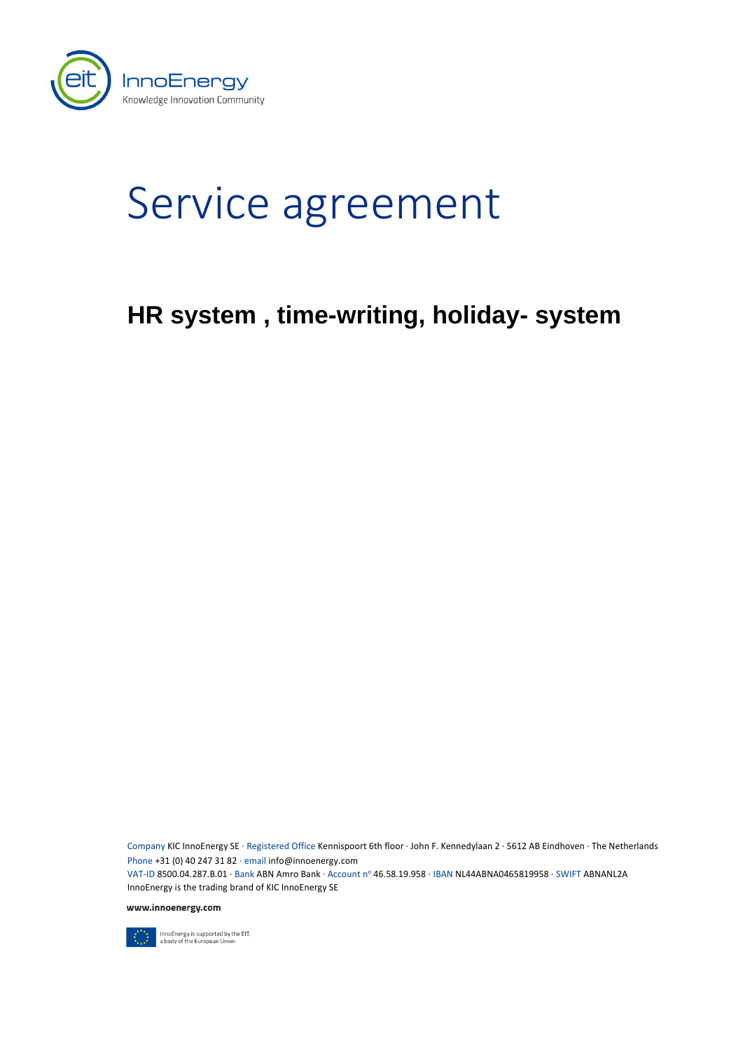

# Service agreement

# **HR system , time-writing, holiday- system**

Company KIC InnoEnergy SE · Registered Office Kennispoort 6th floor · John F. Kennedylaan 2 · 5612 AB Eindhoven · The Netherlands Phone +31 (0) 40 247 31 82 · email info@innoenergy.com VAT-ID 8500.04.287.B.01 · Bank ABN Amro Bank · Account nº 46.58.19.958 · IBAN NL44ABNA0465819958 · SWIFT ABNANL2A InnoEnergy is the trading brand of KIC InnoEnergy SE

www.innoenergy.com



InnoEnergy is supported by the EIT,<br>a body of the European Union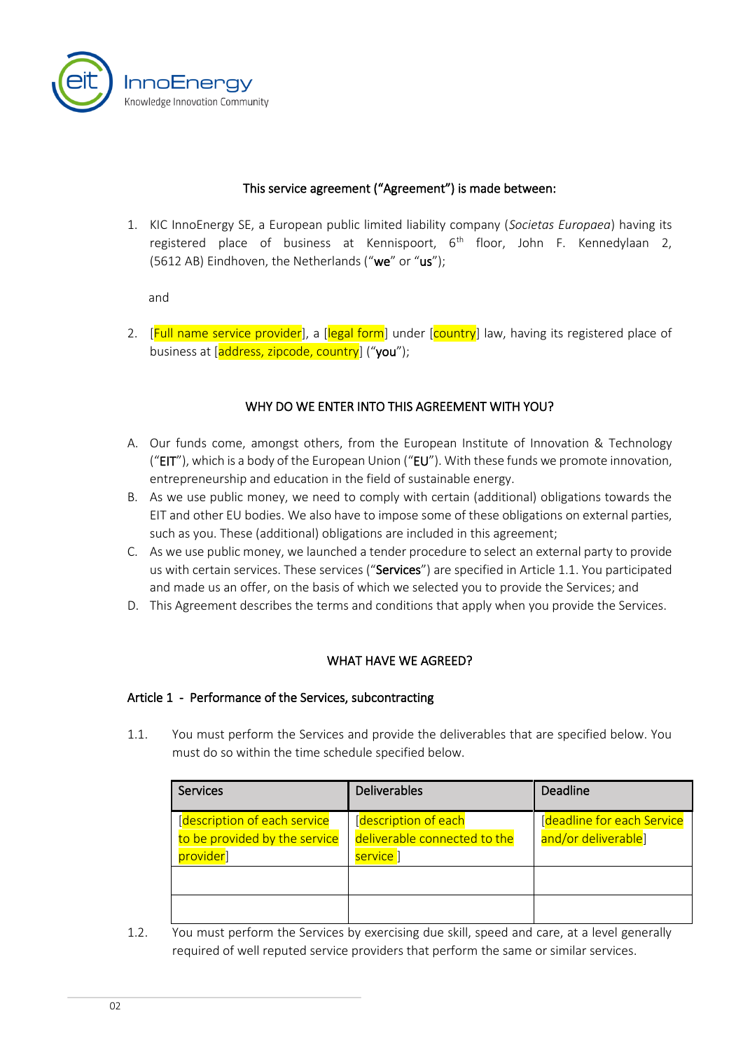

## This service agreement ("Agreement") is made between:

1. KIC InnoEnergy SE, a European public limited liability company (*Societas Europaea*) having its registered place of business at Kennispoort,  $6<sup>th</sup>$  floor, John F. Kennedylaan 2, (5612 AB) Eindhoven, the Netherlands ("we" or "us");

and

2. [Full name service provider], a [legal form] under [country] law, having its registered place of business at [address, zipcode, country] ("you");

## WHY DO WE ENTER INTO THIS AGREEMENT WITH YOU?

- A. Our funds come, amongst others, from the European Institute of Innovation & Technology (" $EIT$ "), which is a body of the European Union (" $EU$ "). With these funds we promote innovation, entrepreneurship and education in the field of sustainable energy.
- B. As we use public money, we need to comply with certain (additional) obligations towards the EIT and other EU bodies. We also have to impose some of these obligations on external parties, such as you. These (additional) obligations are included in this agreement;
- C. As we use public money, we launched a tender procedure to select an external party to provide us with certain services. These services ("Services") are specified in Article [1.1.](#page-1-0) You participated and made us an offer, on the basis of which we selected you to provide the Services; and
- D. This Agreement describes the terms and conditions that apply when you provide the Services.

# WHAT HAVE WE AGREED?

#### Article 1 - Performance of the Services, subcontracting

<span id="page-1-0"></span>1.1. You must perform the Services and provide the deliverables that are specified below. You must do so within the time schedule specified below.

| <b>Services</b>                                                             | Deliverables                                                      | Deadline                                           |
|-----------------------------------------------------------------------------|-------------------------------------------------------------------|----------------------------------------------------|
| [description of each service]<br>to be provided by the service<br>provider] | [description of each<br>deliverable connected to the<br>service ] | [deadline for each Service]<br>and/or deliverable] |
|                                                                             |                                                                   |                                                    |
|                                                                             |                                                                   |                                                    |

1.2. You must perform the Services by exercising due skill, speed and care, at a level generally required of well reputed service providers that perform the same or similar services.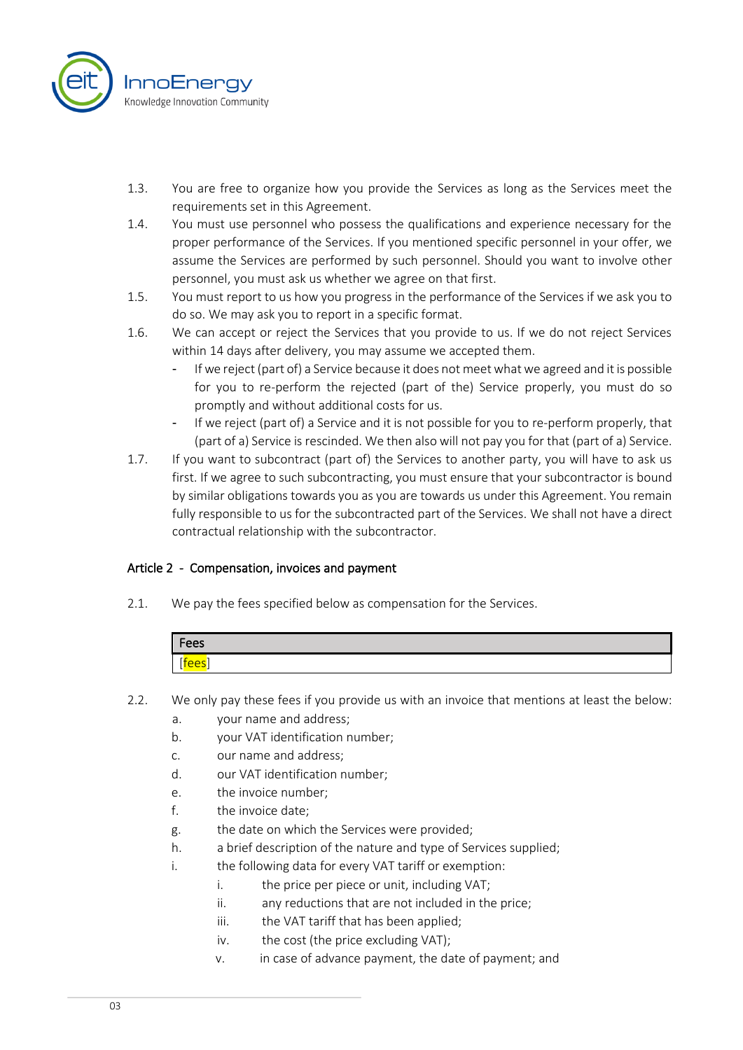

- 1.3. You are free to organize how you provide the Services as long as the Services meet the requirements set in this Agreement.
- 1.4. You must use personnel who possess the qualifications and experience necessary for the proper performance of the Services. If you mentioned specific personnel in your offer, we assume the Services are performed by such personnel. Should you want to involve other personnel, you must ask us whether we agree on that first.
- 1.5. You must report to us how you progress in the performance of the Services if we ask you to do so. We may ask you to report in a specific format.
- 1.6. We can accept or reject the Services that you provide to us. If we do not reject Services within 14 days after delivery, you may assume we accepted them.
	- If we reject (part of) a Service because it does not meet what we agreed and it is possible for you to re-perform the rejected (part of the) Service properly, you must do so promptly and without additional costs for us.
	- If we reject (part of) a Service and it is not possible for you to re-perform properly, that (part of a) Service is rescinded. We then also will not pay you for that (part of a) Service.
- 1.7. If you want to subcontract (part of) the Services to another party, you will have to ask us first. If we agree to such subcontracting, you must ensure that your subcontractor is bound by similar obligations towards you as you are towards us under this Agreement. You remain fully responsible to us for the subcontracted part of the Services. We shall not have a direct contractual relationship with the subcontractor.

# Article 2 - Compensation, invoices and payment

2.1. We pay the fees specified below as compensation for the Services.

| Fees |  |
|------|--|
| ees  |  |

- 2.2. We only pay these fees if you provide us with an invoice that mentions at least the below:
	- a. your name and address;
	- b. your VAT identification number;
	- c. our name and address;
	- d. our VAT identification number;
	- e. the invoice number;
	- f. the invoice date;
	- g. the date on which the Services were provided;
	- h. a brief description of the nature and type of Services supplied;
	- i. the following data for every VAT tariff or exemption:
		- i. the price per piece or unit, including VAT;
		- ii. any reductions that are not included in the price;
		- iii. the VAT tariff that has been applied;
		- iv. the cost (the price excluding VAT);
		- v. in case of advance payment, the date of payment; and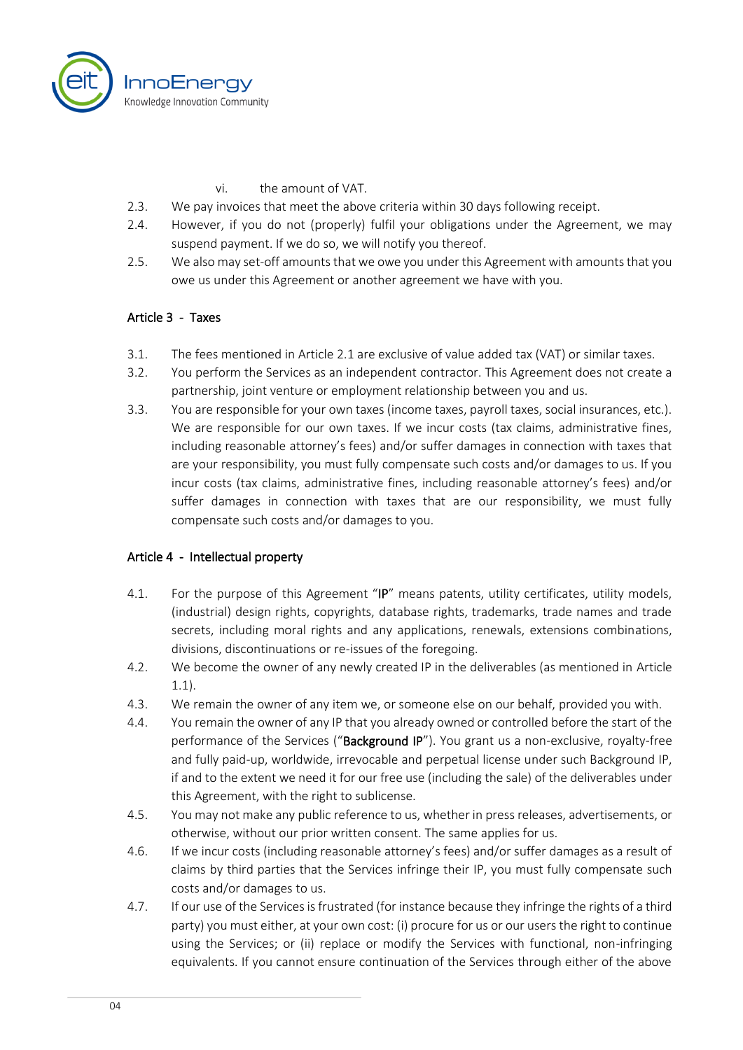

- vi. the amount of VAT.
- 2.3. We pay invoices that meet the above criteria within 30 days following receipt.
- 2.4. However, if you do not (properly) fulfil your obligations under the Agreement, we may suspend payment. If we do so, we will notify you thereof.
- 2.5. We also may set-off amounts that we owe you under this Agreement with amounts that you owe us under this Agreement or another agreement we have with you.

#### Article 3 - Taxes

- 3.1. The fees mentioned in Article 2.1 are exclusive of value added tax (VAT) or similar taxes.
- 3.2. You perform the Services as an independent contractor. This Agreement does not create a partnership, joint venture or employment relationship between you and us.
- 3.3. You are responsible for your own taxes (income taxes, payroll taxes, social insurances, etc.). We are responsible for our own taxes. If we incur costs (tax claims, administrative fines, including reasonable attorney's fees) and/or suffer damages in connection with taxes that are your responsibility, you must fully compensate such costs and/or damages to us. If you incur costs (tax claims, administrative fines, including reasonable attorney's fees) and/or suffer damages in connection with taxes that are our responsibility, we must fully compensate such costs and/or damages to you.

#### Article 4 - Intellectual property

- 4.1. For the purpose of this Agreement "IP" means patents, utility certificates, utility models, (industrial) design rights, copyrights, database rights, trademarks, trade names and trade secrets, including moral rights and any applications, renewals, extensions combinations, divisions, discontinuations or re-issues of the foregoing.
- 4.2. We become the owner of any newly created IP in the deliverables (as mentioned in Article 1.1).
- 4.3. We remain the owner of any item we, or someone else on our behalf, provided you with.
- 4.4. You remain the owner of any IP that you already owned or controlled before the start of the performance of the Services ("Background IP"). You grant us a non-exclusive, royalty-free and fully paid-up, worldwide, irrevocable and perpetual license under such Background IP, if and to the extent we need it for our free use (including the sale) of the deliverables under this Agreement, with the right to sublicense.
- 4.5. You may not make any public reference to us, whether in press releases, advertisements, or otherwise, without our prior written consent. The same applies for us.
- 4.6. If we incur costs (including reasonable attorney's fees) and/or suffer damages as a result of claims by third parties that the Services infringe their IP, you must fully compensate such costs and/or damages to us.
- 4.7. If our use of the Services is frustrated (for instance because they infringe the rights of a third party) you must either, at your own cost: (i) procure for us or our users the right to continue using the Services; or (ii) replace or modify the Services with functional, non-infringing equivalents. If you cannot ensure continuation of the Services through either of the above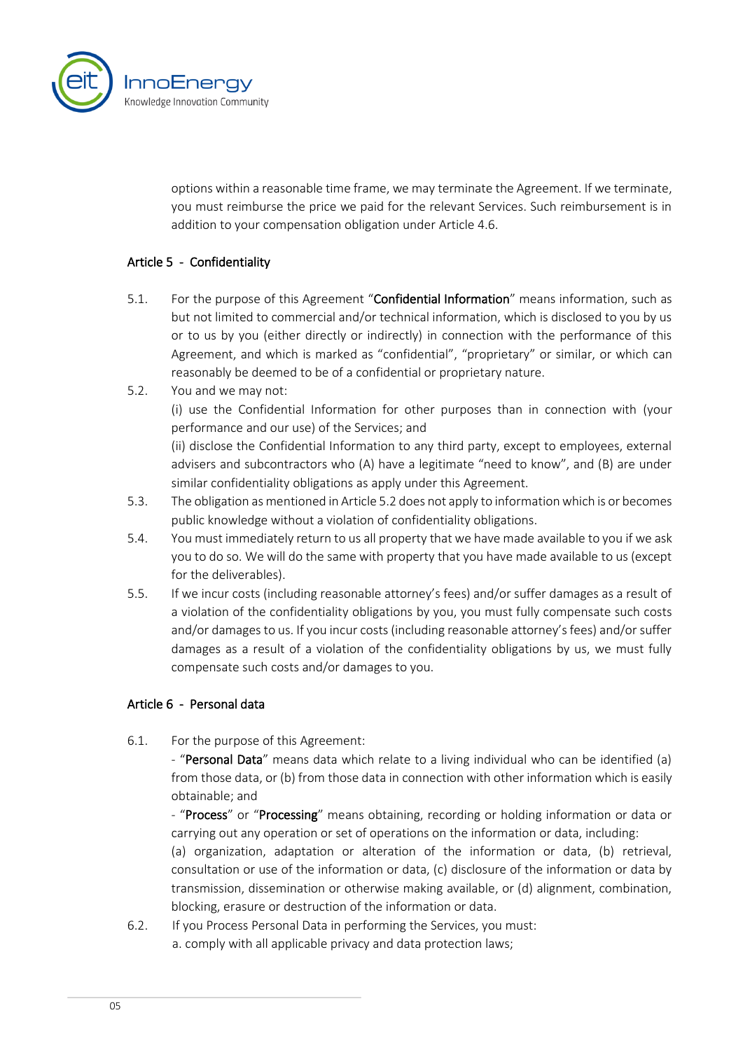

options within a reasonable time frame, we may terminate the Agreement. If we terminate, you must reimburse the price we paid for the relevant Services. Such reimbursement is in addition to your compensation obligation under Article 4.6.

# Article 5 - Confidentiality

- 5.1. For the purpose of this Agreement "Confidential Information" means information, such as but not limited to commercial and/or technical information, which is disclosed to you by us or to us by you (either directly or indirectly) in connection with the performance of this Agreement, and which is marked as "confidential", "proprietary" or similar, or which can reasonably be deemed to be of a confidential or proprietary nature.
- 5.2. You and we may not: (i) use the Confidential Information for other purposes than in connection with (your performance and our use) of the Services; and (ii) disclose the Confidential Information to any third party, except to employees, external

advisers and subcontractors who (A) have a legitimate "need to know", and (B) are under similar confidentiality obligations as apply under this Agreement.

- 5.3. The obligation as mentioned in Article 5.2 does not apply to information which is or becomes public knowledge without a violation of confidentiality obligations.
- 5.4. You must immediately return to us all property that we have made available to you if we ask you to do so. We will do the same with property that you have made available to us (except for the deliverables).
- 5.5. If we incur costs (including reasonable attorney's fees) and/or suffer damages as a result of a violation of the confidentiality obligations by you, you must fully compensate such costs and/or damages to us. If you incur costs (including reasonable attorney's fees) and/or suffer damages as a result of a violation of the confidentiality obligations by us, we must fully compensate such costs and/or damages to you.

# Article 6 - Personal data

6.1. For the purpose of this Agreement:

- "Personal Data" means data which relate to a living individual who can be identified (a) from those data, or (b) from those data in connection with other information which is easily obtainable; and

- "Process" or "Processing" means obtaining, recording or holding information or data or carrying out any operation or set of operations on the information or data, including:

(a) organization, adaptation or alteration of the information or data, (b) retrieval, consultation or use of the information or data, (c) disclosure of the information or data by transmission, dissemination or otherwise making available, or (d) alignment, combination, blocking, erasure or destruction of the information or data.

6.2. If you Process Personal Data in performing the Services, you must: a. comply with all applicable privacy and data protection laws;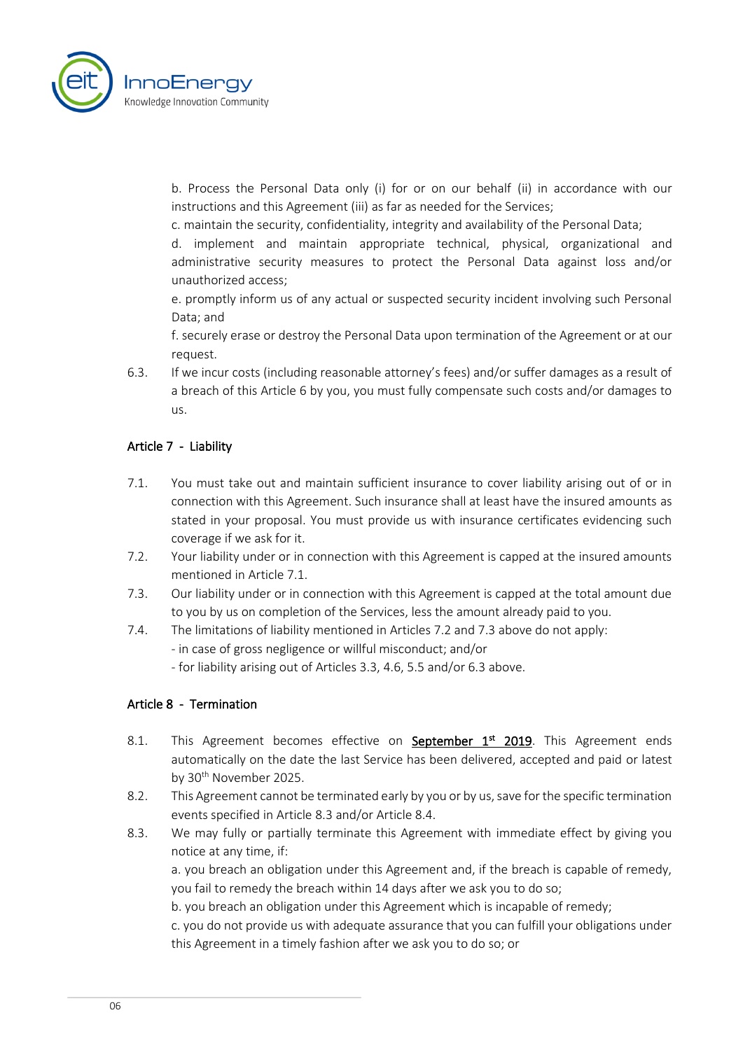

b. Process the Personal Data only (i) for or on our behalf (ii) in accordance with our instructions and this Agreement (iii) as far as needed for the Services;

c. maintain the security, confidentiality, integrity and availability of the Personal Data;

d. implement and maintain appropriate technical, physical, organizational and administrative security measures to protect the Personal Data against loss and/or unauthorized access;

e. promptly inform us of any actual or suspected security incident involving such Personal Data; and

f. securely erase or destroy the Personal Data upon termination of the Agreement or at our request.

6.3. If we incur costs (including reasonable attorney's fees) and/or suffer damages as a result of a breach of this Article 6 by you, you must fully compensate such costs and/or damages to us.

# Article 7 - Liability

- 7.1. You must take out and maintain sufficient insurance to cover liability arising out of or in connection with this Agreement. Such insurance shall at least have the insured amounts as stated in your proposal. You must provide us with insurance certificates evidencing such coverage if we ask for it.
- 7.2. Your liability under or in connection with this Agreement is capped at the insured amounts mentioned in Article 7.1.
- 7.3. Our liability under or in connection with this Agreement is capped at the total amount due to you by us on completion of the Services, less the amount already paid to you.
- 7.4. The limitations of liability mentioned in Articles 7.2 and 7.3 above do not apply:

- in case of gross negligence or willful misconduct; and/or

- for liability arising out of Articles 3.3, 4.6, 5.5 and/or 6.3 above.

# Article 8 - Termination

- 8.1. This Agreement becomes effective on **September 1st 2019**. This Agreement ends automatically on the date the last Service has been delivered, accepted and paid or latest by 30<sup>th</sup> November 2025.
- 8.2. This Agreement cannot be terminated early by you or by us, save for the specific termination events specified in Article 8.3 and/or Article 8.4.
- 8.3. We may fully or partially terminate this Agreement with immediate effect by giving you notice at any time, if:

a. you breach an obligation under this Agreement and, if the breach is capable of remedy, you fail to remedy the breach within 14 days after we ask you to do so;

b. you breach an obligation under this Agreement which is incapable of remedy;

c. you do not provide us with adequate assurance that you can fulfill your obligations under this Agreement in a timely fashion after we ask you to do so; or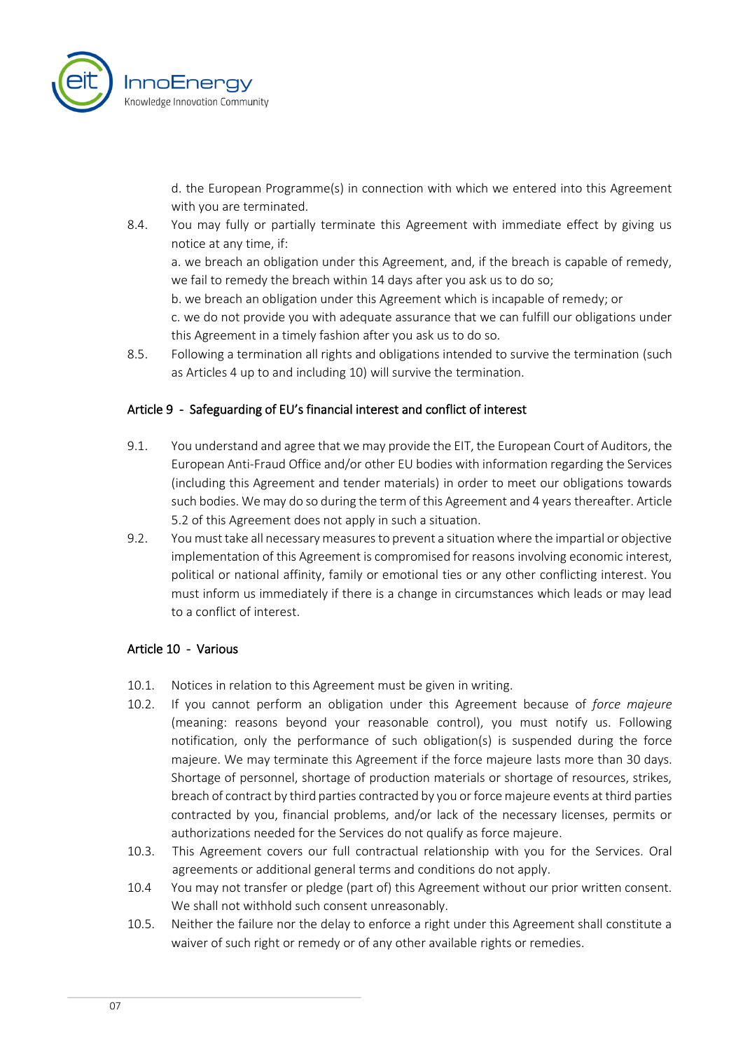

d. the European Programme(s) in connection with which we entered into this Agreement with you are terminated.

8.4. You may fully or partially terminate this Agreement with immediate effect by giving us notice at any time, if:

a. we breach an obligation under this Agreement, and, if the breach is capable of remedy, we fail to remedy the breach within 14 days after you ask us to do so;

b. we breach an obligation under this Agreement which is incapable of remedy; or

c. we do not provide you with adequate assurance that we can fulfill our obligations under this Agreement in a timely fashion after you ask us to do so.

8.5. Following a termination all rights and obligations intended to survive the termination (such as Articles 4 up to and including 10) will survive the termination.

# Article 9 - Safeguarding of EU's financial interest and conflict of interest

- 9.1. You understand and agree that we may provide the EIT, the European Court of Auditors, the European Anti-Fraud Office and/or other EU bodies with information regarding the Services (including this Agreement and tender materials) in order to meet our obligations towards such bodies. We may do so during the term of this Agreement and 4 years thereafter. Article 5.2 of this Agreement does not apply in such a situation.
- 9.2. You must take all necessary measures to prevent a situation where the impartial or objective implementation of this Agreement is compromised for reasons involving economic interest, political or national affinity, family or emotional ties or any other conflicting interest. You must inform us immediately if there is a change in circumstances which leads or may lead to a conflict of interest.

# Article 10 - Various

- 10.1. Notices in relation to this Agreement must be given in writing.
- 10.2. If you cannot perform an obligation under this Agreement because of *force majeure* (meaning: reasons beyond your reasonable control), you must notify us. Following notification, only the performance of such obligation(s) is suspended during the force majeure. We may terminate this Agreement if the force majeure lasts more than 30 days. Shortage of personnel, shortage of production materials or shortage of resources, strikes, breach of contract by third parties contracted by you or force majeure events at third parties contracted by you, financial problems, and/or lack of the necessary licenses, permits or authorizations needed for the Services do not qualify as force majeure.
- 10.3. This Agreement covers our full contractual relationship with you for the Services. Oral agreements or additional general terms and conditions do not apply.
- 10.4 You may not transfer or pledge (part of) this Agreement without our prior written consent. We shall not withhold such consent unreasonably.
- 10.5. Neither the failure nor the delay to enforce a right under this Agreement shall constitute a waiver of such right or remedy or of any other available rights or remedies.